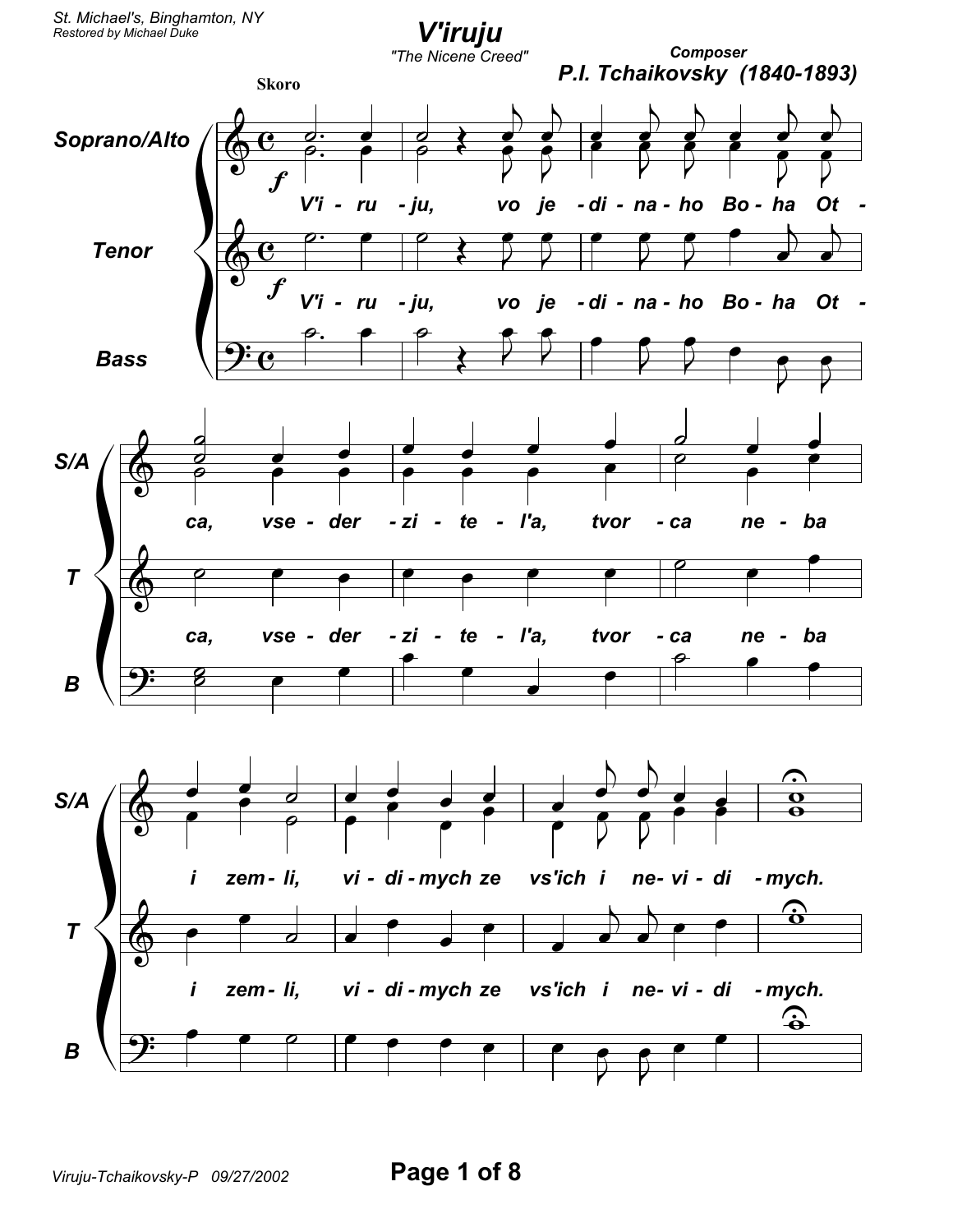St. Michael's, Binghamton, NY Restored by Michael Duke

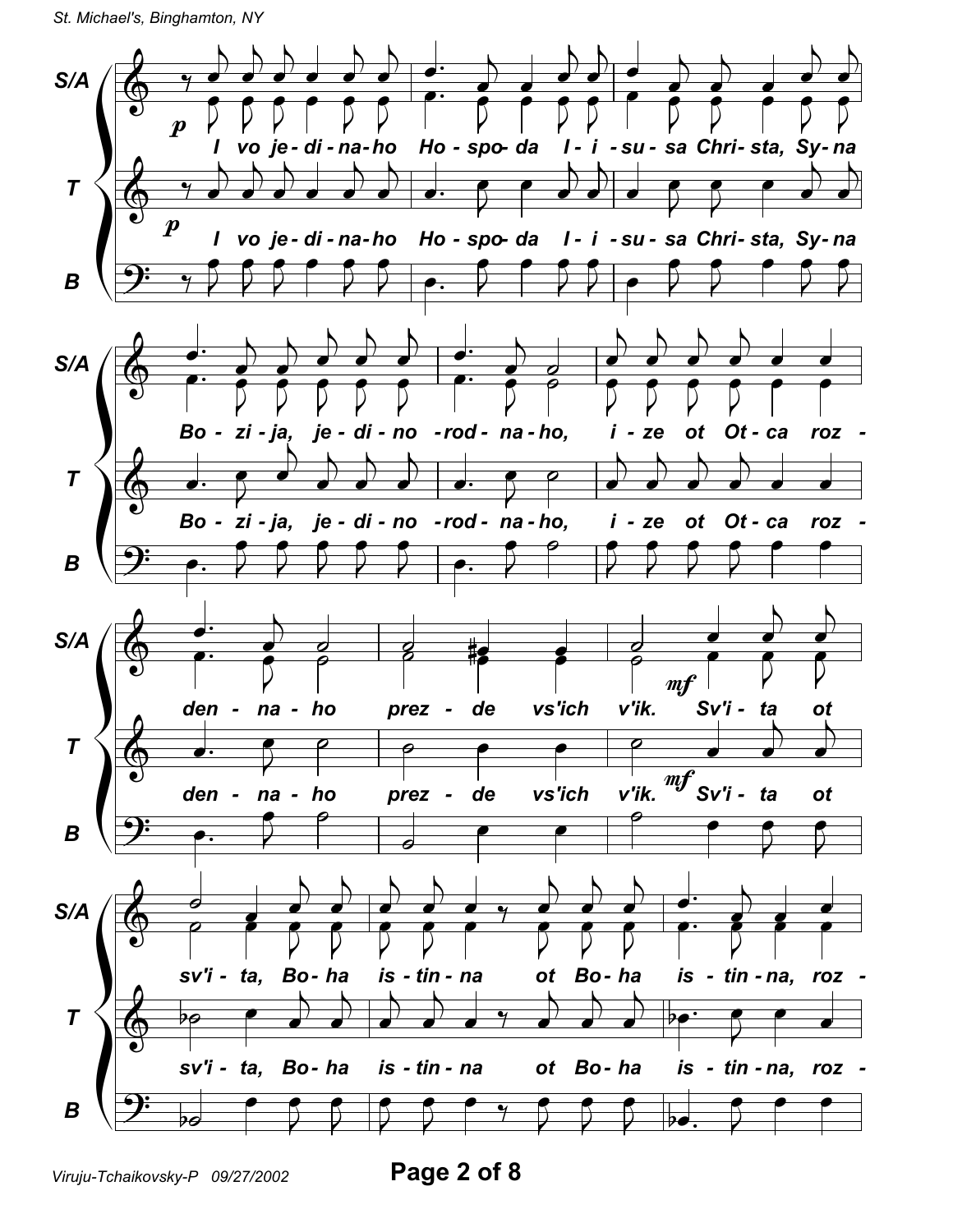St. Michael's, Binghamton, NY



Viruju-Tchaikovsky-P 09/27/2002

Page 2 of 8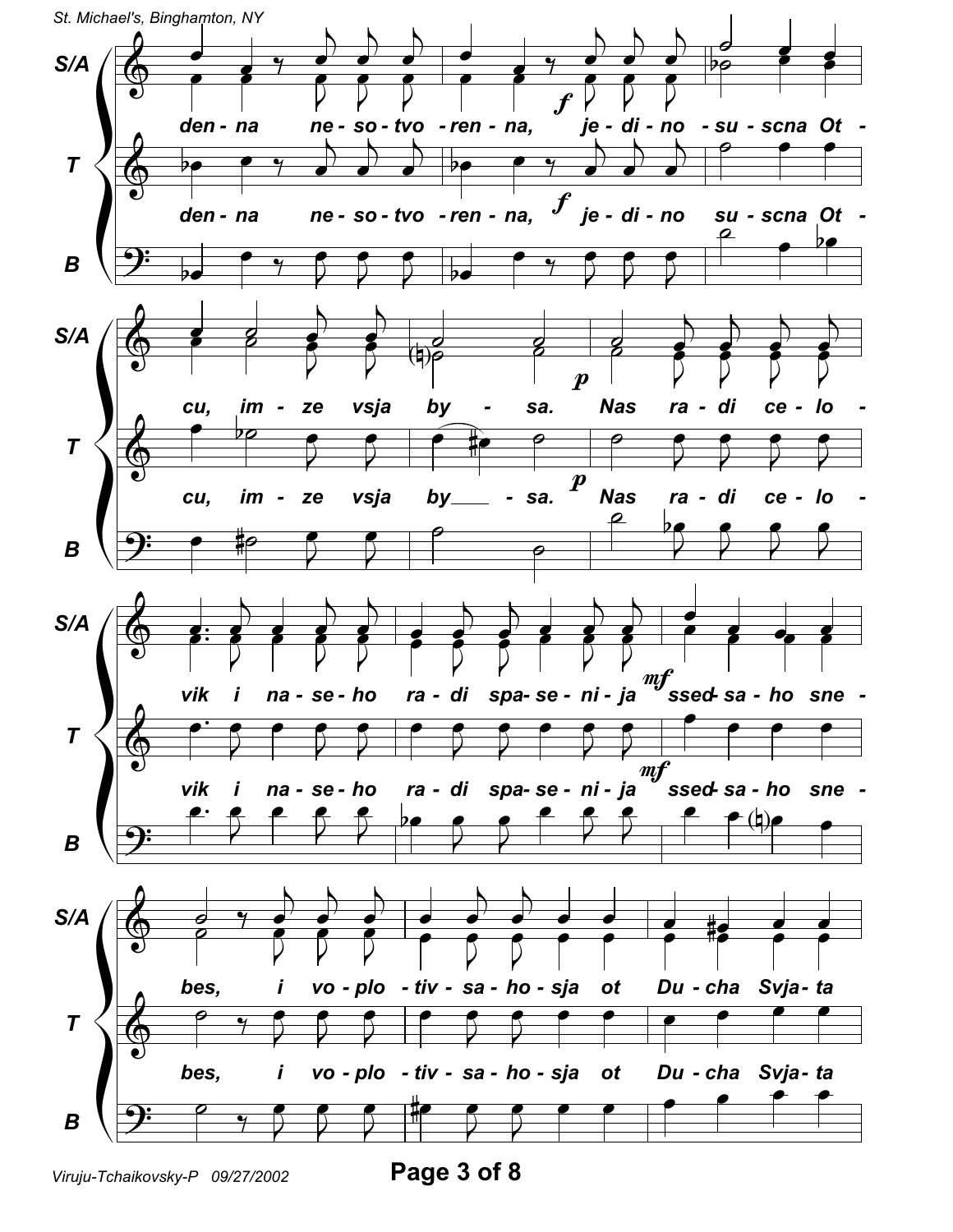

Page 3 of 8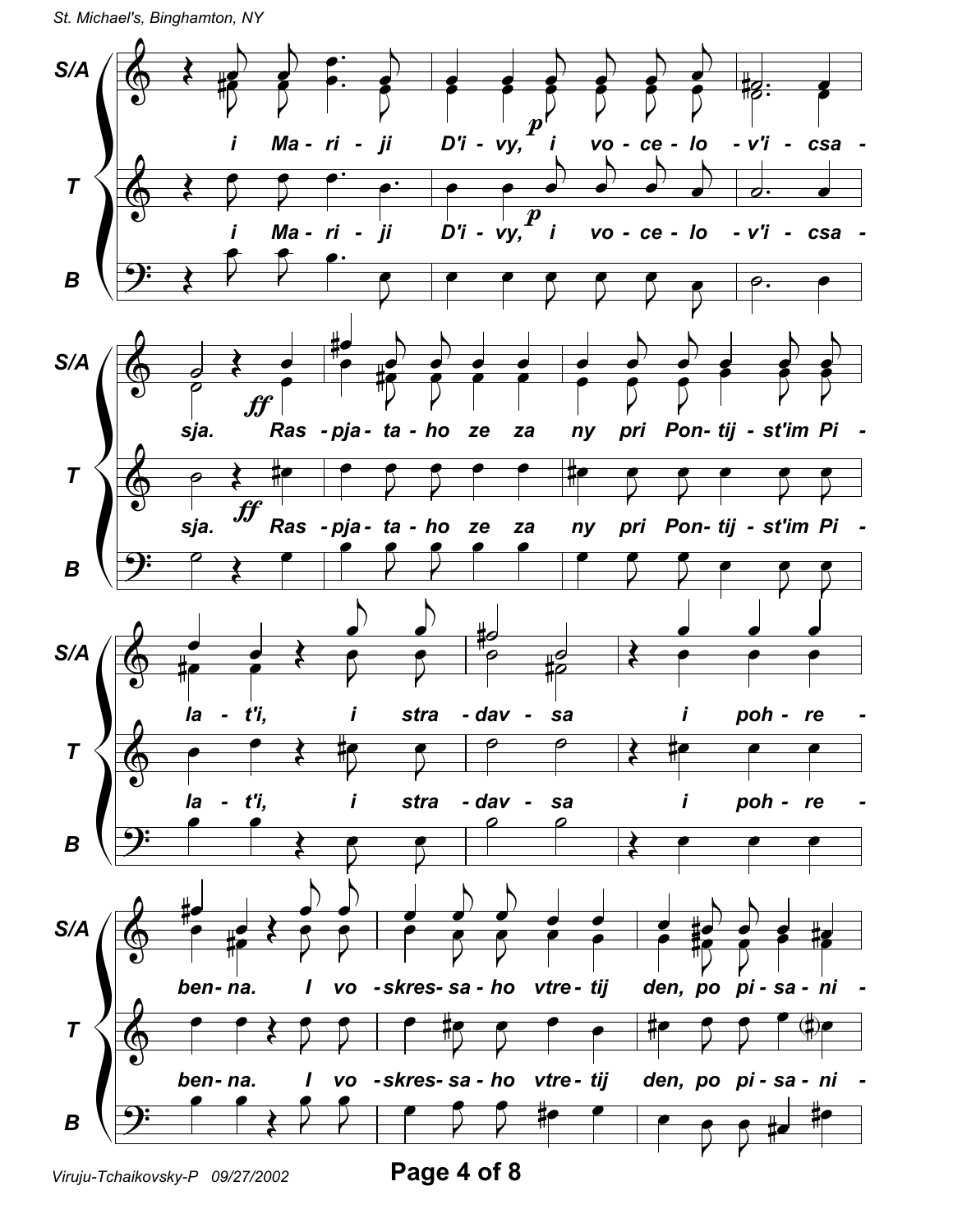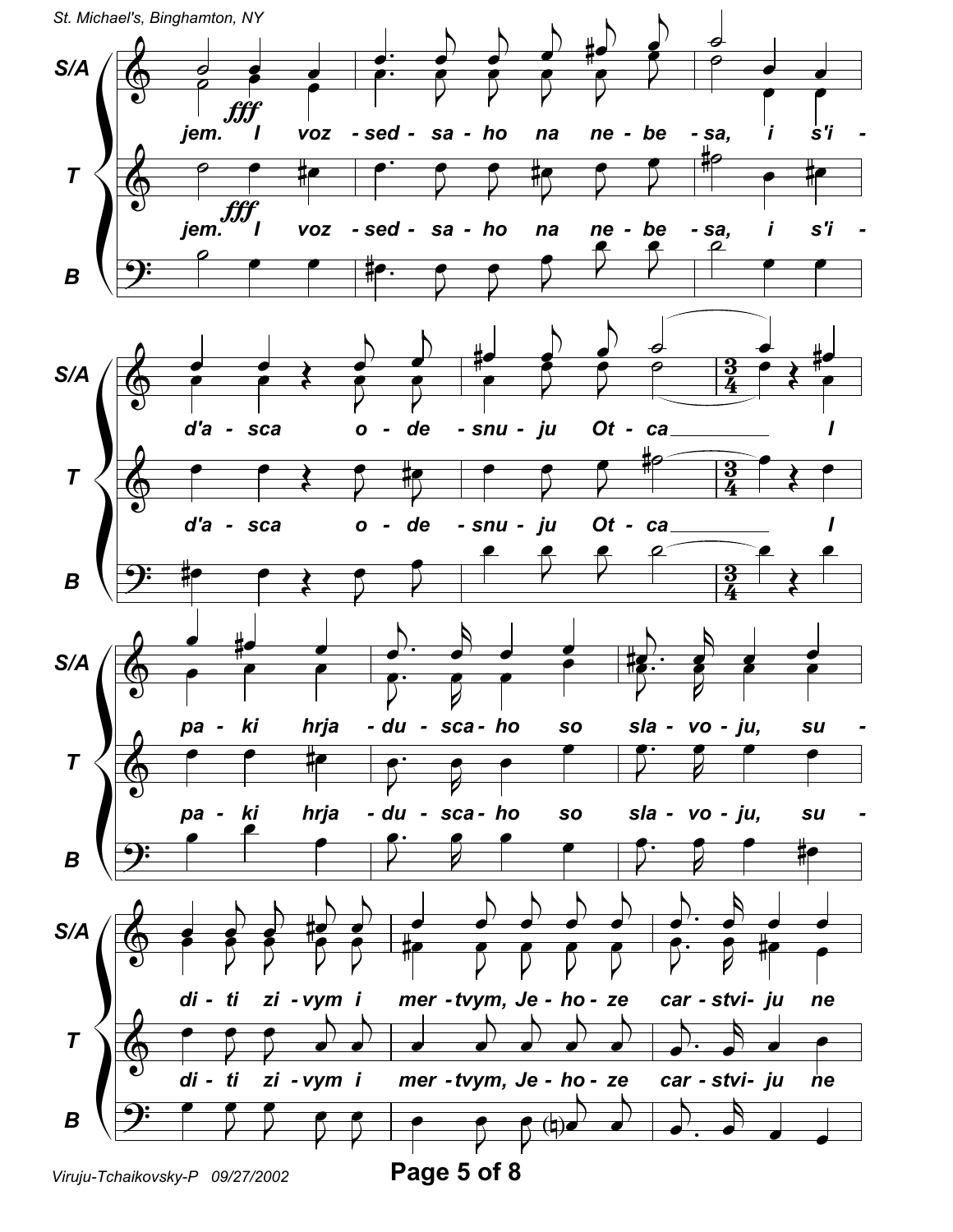![](_page_4_Figure_0.jpeg)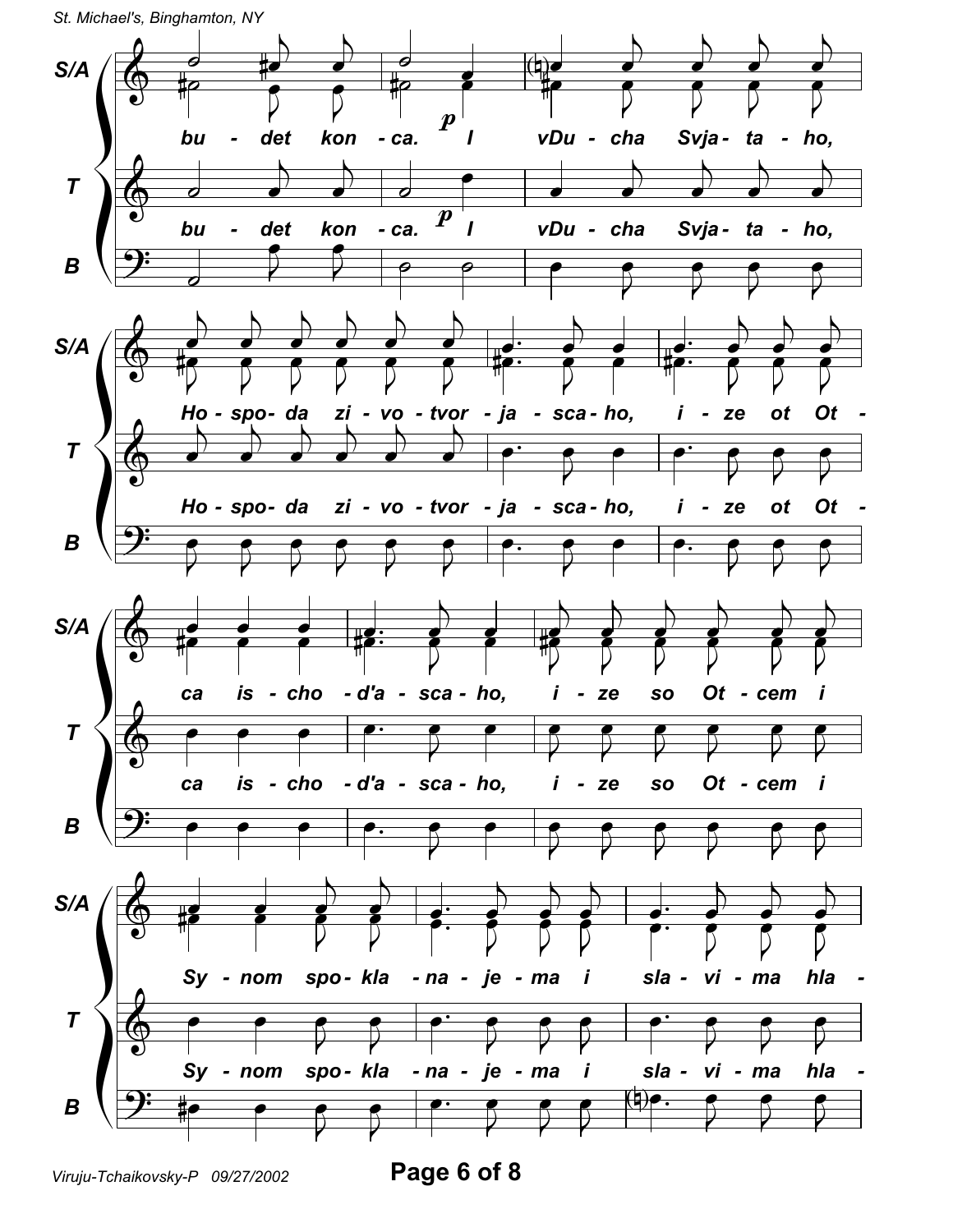![](_page_5_Figure_0.jpeg)

![](_page_5_Figure_1.jpeg)

Viruju-Tchaikovsky-P 09/27/2002

Page 6 of 8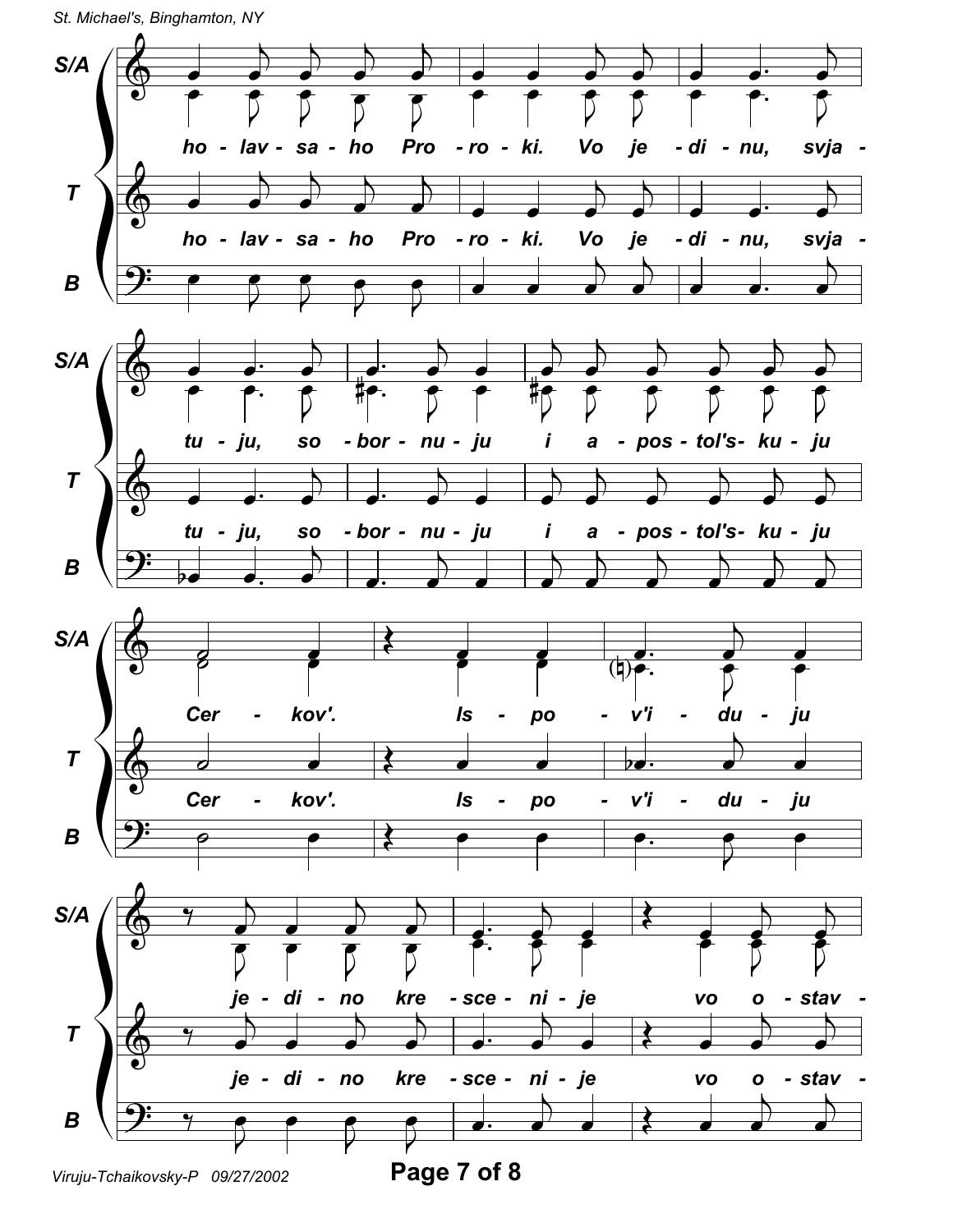St. Michael's, Binghamton, NY

![](_page_6_Figure_1.jpeg)